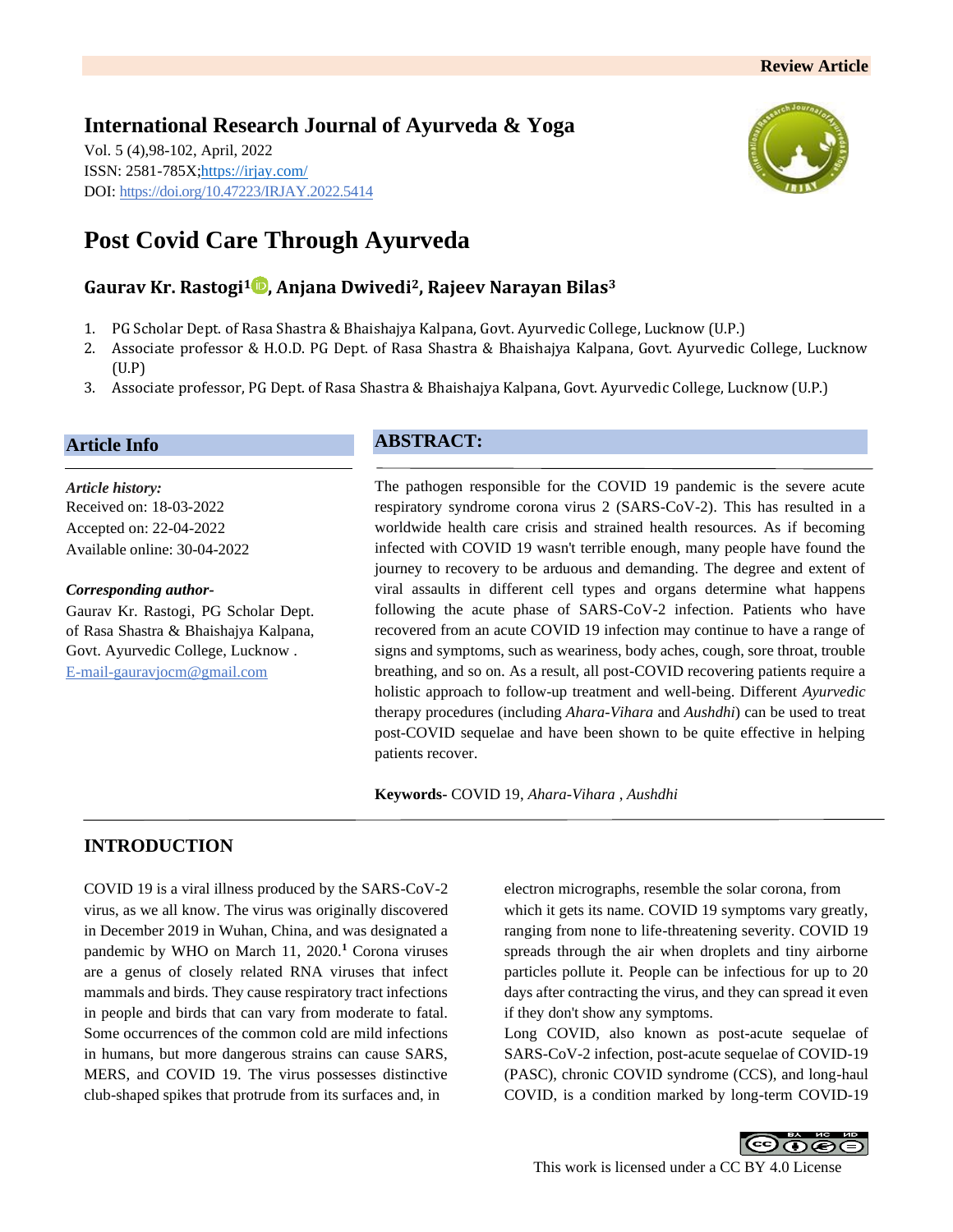## **International Research Journal of Ayurveda & Yoga** Vol. 5 (4),98-102, April, 2022

ISSN: 2581-785X[; https://irjay.com/](https://irjay.com/) DOI: https://doi.org/10.47223/IRJAY.2022.5414



# **Post Covid Care Through Ayurveda**

# **Gaurav Kr. Rastogi<sup>1</sup> , Anjana Dwivedi2, Rajeev Narayan Bilas<sup>3</sup>**

- 1. PG Scholar Dept. of Rasa Shastra & Bhaishajya Kalpana, Govt. Ayurvedic College, Lucknow (U.P.)
- 2. Associate professor & H.O.D. PG Dept. of Rasa Shastra & Bhaishajya Kalpana, Govt. Ayurvedic College, Lucknow (U.P)
- 3. Associate professor, PG Dept. of Rasa Shastra & Bhaishajya Kalpana, Govt. Ayurvedic College, Lucknow (U.P.)

## **Article Info**

*Article history:* Received on: 18-03-2022 Accepted on: 22-04-2022 Available online: 30-04-2022

#### *Corresponding author-*

Gaurav Kr. Rastogi, PG Scholar Dept. of Rasa Shastra & Bhaishajya Kalpana, Govt. Ayurvedic College, Lucknow . E-mail-gauravjocm@gmail.com

# **ABSTRACT:**

The pathogen responsible for the COVID 19 pandemic is the severe acute respiratory syndrome corona virus 2 (SARS-CoV-2). This has resulted in a worldwide health care crisis and strained health resources. As if becoming infected with COVID 19 wasn't terrible enough, many people have found the journey to recovery to be arduous and demanding. The degree and extent of viral assaults in different cell types and organs determine what happens following the acute phase of SARS-CoV-2 infection. Patients who have recovered from an acute COVID 19 infection may continue to have a range of signs and symptoms, such as weariness, body aches, cough, sore throat, trouble breathing, and so on. As a result, all post-COVID recovering patients require a holistic approach to follow-up treatment and well-being. Different *Ayurvedic* therapy procedures (including *Ahara*-*Vihara* and *Aushdhi*) can be used to treat post-COVID sequelae and have been shown to be quite effective in helping patients recover.

**Keywords-** COVID 19, *Ahara*-*Vihara* , *Aushdhi*

# **INTRODUCTION**

COVID 19 is a viral illness produced by the SARS-CoV-2 virus, as we all know. The virus was originally discovered in December 2019 in Wuhan, China, and was designated a pandemic by WHO on March 11, 2020.**<sup>1</sup>** Corona viruses are a genus of closely related RNA viruses that infect mammals and birds. They cause respiratory tract infections in people and birds that can vary from moderate to fatal. Some occurrences of the common cold are mild infections in humans, but more dangerous strains can cause SARS, MERS, and COVID 19. The virus possesses distinctive club-shaped spikes that protrude from its surfaces and, in

electron micrographs, resemble the solar corona, from which it gets its name. COVID 19 symptoms vary greatly, ranging from none to life-threatening severity. COVID 19 spreads through the air when droplets and tiny airborne particles pollute it. People can be infectious for up to 20 days after contracting the virus, and they can spread it even if they don't show any symptoms.

Long COVID, also known as post-acute sequelae of SARS-CoV-2 infection, post-acute sequelae of COVID-19 (PASC), chronic COVID syndrome (CCS), and long-haul COVID, is a condition marked by long-term COVID-19

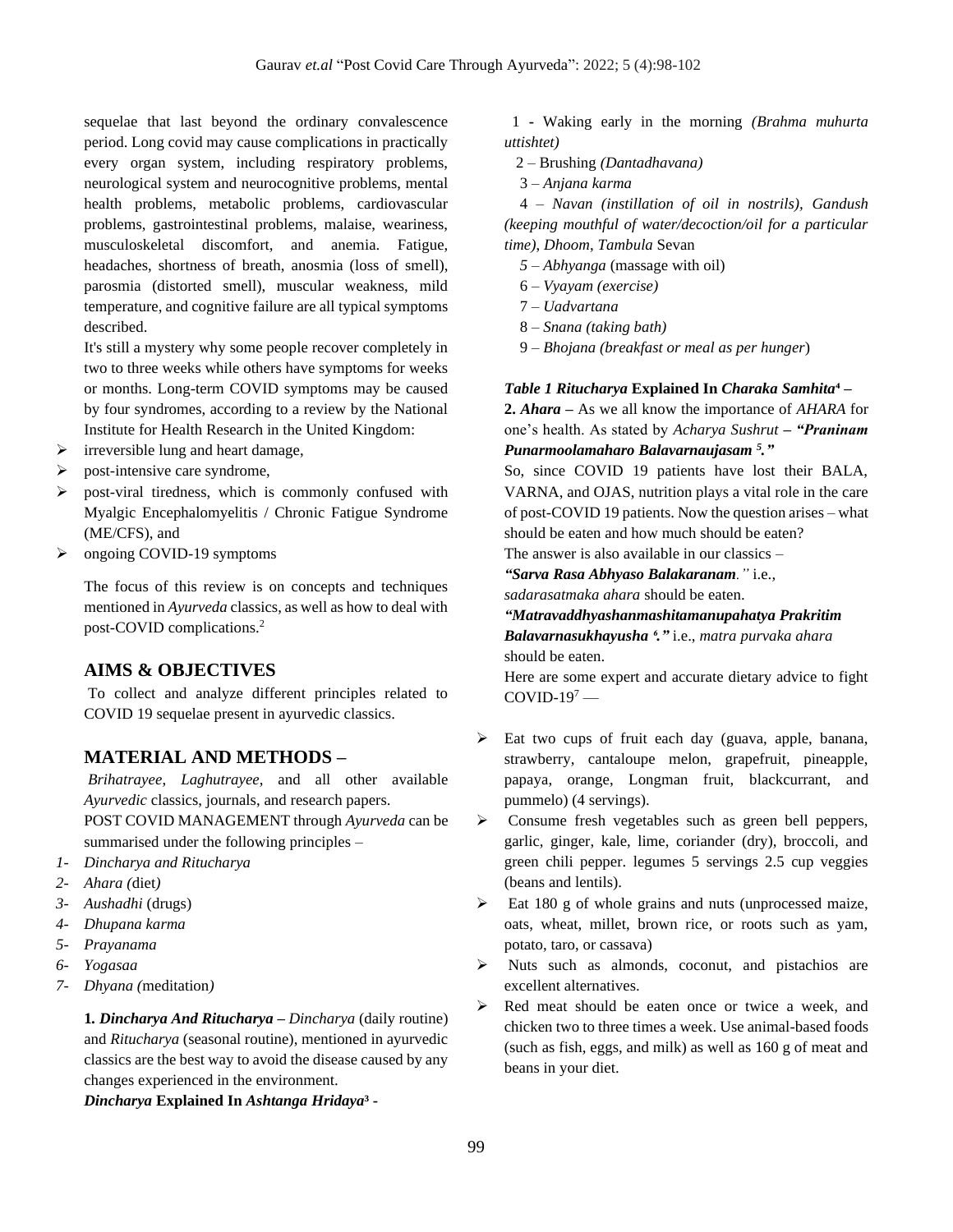sequelae that last beyond the ordinary convalescence period. Long covid may cause complications in practically every organ system, including respiratory problems, neurological system and neurocognitive problems, mental health problems, metabolic problems, cardiovascular problems, gastrointestinal problems, malaise, weariness, musculoskeletal discomfort, and anemia. Fatigue, headaches, shortness of breath, anosmia (loss of smell), parosmia (distorted smell), muscular weakness, mild temperature, and cognitive failure are all typical symptoms described.

It's still a mystery why some people recover completely in two to three weeks while others have symptoms for weeks or months. Long-term COVID symptoms may be caused by four syndromes, according to a review by the National Institute for Health Research in the United Kingdom:

- $\triangleright$  irreversible lung and heart damage,
- $\triangleright$  post-intensive care syndrome,
- ➢ post-viral tiredness, which is commonly confused with Myalgic Encephalomyelitis / Chronic Fatigue Syndrome (ME/CFS), and
- ➢ ongoing COVID-19 symptoms

The focus of this review is on concepts and techniques mentioned in *Ayurveda* classics, as well as how to deal with post-COVID complications.<sup>2</sup>

#### **AIMS & OBJECTIVES**

To collect and analyze different principles related to COVID 19 sequelae present in ayurvedic classics.

## **MATERIAL AND METHODS –**

*Brihatrayee*, *Laghutrayee*, and all other available *Ayurvedic* classics, journals, and research papers. POST COVID MANAGEMENT through *Ayurveda* can be summarised under the following principles –

- *1- Dincharya and Ritucharya*
- *2- Ahara (*diet*)*
- *3- Aushadhi* (drugs)
- *4- Dhupana karma*
- *5- Prayanama*
- *6- Yogasaa*
- *7- Dhyana (*meditation*)*

**1***. Dincharya And Ritucharya* **–** *Dincharya* (daily routine) and *Ritucharya* (seasonal routine), mentioned in ayurvedic classics are the best way to avoid the disease caused by any changes experienced in the environment.

*Dincharya* **Explained In** *Ashtanga Hridaya***³ -**

1 **-** Waking early in the morning *(Brahma muhurta uttishtet)* 

- 2 Brushing *(Dantadhavana)*
- 3 *Anjana karma*

 4 – *Navan (instillation of oil in nostrils), Gandush (keeping mouthful of water/decoction/oil for a particular time)*, *Dhoom*, *Tambula* Sevan

- *5 – Abhyanga* (massage with oil)
- 6 *Vyayam (exercise)*
- 7 *Uadvartana*
- 8 *Snana (taking bath)*
- 9 *Bhojana (breakfast or meal as per hunger*)

#### *Table 1 Ritucharya* **Explained In** *Charaka Samhita***⁴ –**

**2.** *Ahara* **–** As we all know the importance of *AHARA* for one's health. As stated by *Acharya Sushrut – "Praninam Punarmoolamaharo Balavarnaujasam <sup>5</sup> ."*

So, since COVID 19 patients have lost their BALA, VARNA, and OJAS, nutrition plays a vital role in the care of post-COVID 19 patients. Now the question arises – what should be eaten and how much should be eaten?

The answer is also available in our classics –

*"Sarva Rasa Abhyaso Balakaranam."* i.e.*,* 

*sadarasatmaka ahara* should be eaten.

*"Matravaddhyashanmashitamanupahatya Prakritim Balavarnasukhayusha ⁶."* i.e., *matra purvaka ahara*

should be eaten.

Here are some expert and accurate dietary advice to fight  $COVID-19<sup>7</sup>$  —

- ➢ Eat two cups of fruit each day (guava, apple, banana, strawberry, cantaloupe melon, grapefruit, pineapple, papaya, orange, Longman fruit, blackcurrant, and pummelo) (4 servings).
- ➢ Consume fresh vegetables such as green bell peppers, garlic, ginger, kale, lime, coriander (dry), broccoli, and green chili pepper. legumes 5 servings 2.5 cup veggies (beans and lentils).
- ➢ Eat 180 g of whole grains and nuts (unprocessed maize, oats, wheat, millet, brown rice, or roots such as yam, potato, taro, or cassava)
- ➢ Nuts such as almonds, coconut, and pistachios are excellent alternatives.
- ➢ Red meat should be eaten once or twice a week, and chicken two to three times a week. Use animal-based foods (such as fish, eggs, and milk) as well as 160 g of meat and beans in your diet.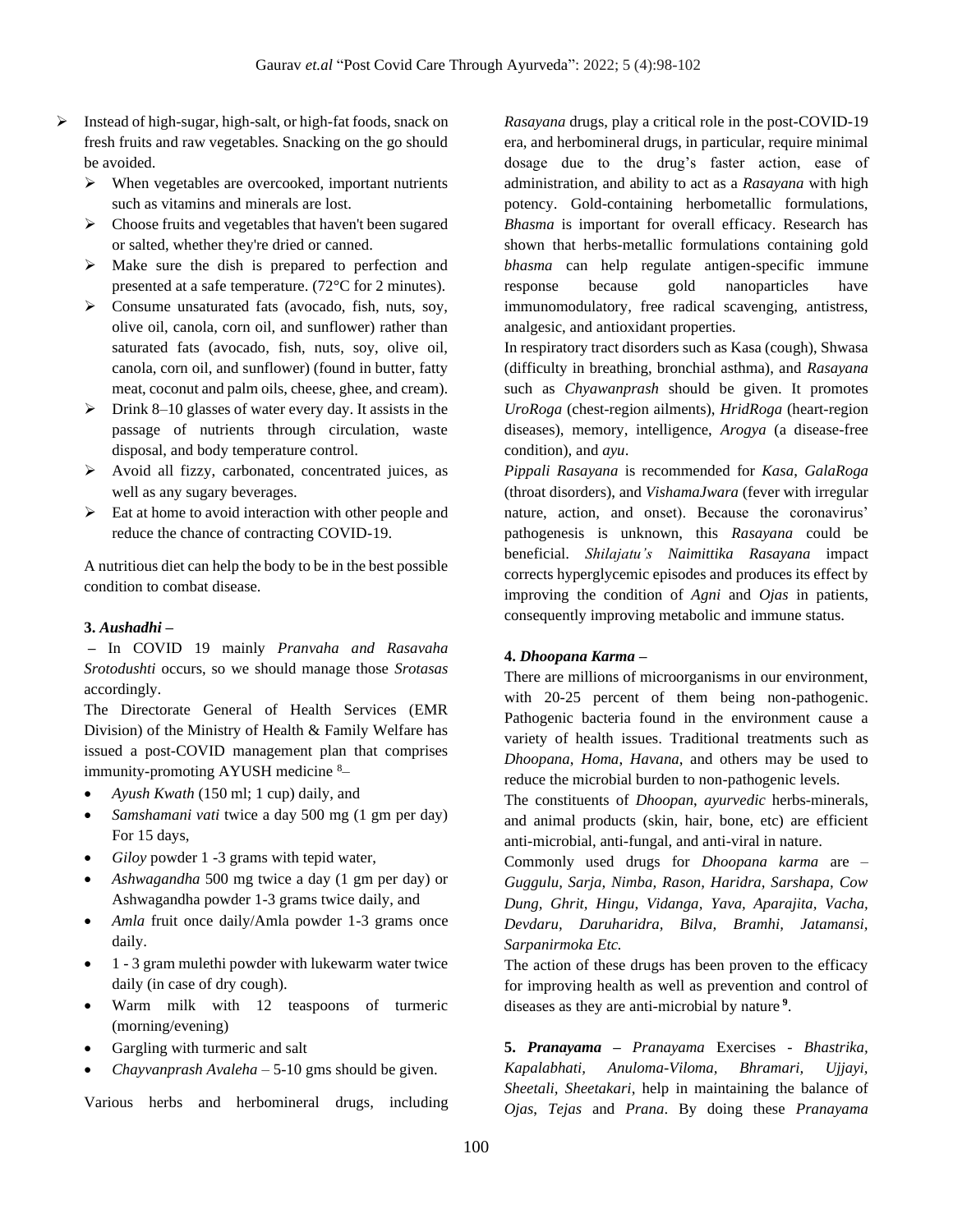- ➢ Instead of high-sugar, high-salt, or high-fat foods, snack on fresh fruits and raw vegetables. Snacking on the go should be avoided.
	- ➢ When vegetables are overcooked, important nutrients such as vitamins and minerals are lost.
	- ➢ Choose fruits and vegetables that haven't been sugared or salted, whether they're dried or canned.
	- ➢ Make sure the dish is prepared to perfection and presented at a safe temperature. (72°C for 2 minutes).
	- ➢ Consume unsaturated fats (avocado, fish, nuts, soy, olive oil, canola, corn oil, and sunflower) rather than saturated fats (avocado, fish, nuts, soy, olive oil, canola, corn oil, and sunflower) (found in butter, fatty meat, coconut and palm oils, cheese, ghee, and cream).
	- ➢ Drink 8–10 glasses of water every day. It assists in the passage of nutrients through circulation, waste disposal, and body temperature control.
	- ➢ Avoid all fizzy, carbonated, concentrated juices, as well as any sugary beverages.
	- ➢ Eat at home to avoid interaction with other people and reduce the chance of contracting COVID-19.

A nutritious diet can help the body to be in the best possible condition to combat disease.

#### **3.** *Aushadhi* **–**

**–** In COVID 19 mainly *Pranvaha and Rasavaha Srotodushti* occurs, so we should manage those *Srotasas* accordingly.

The Directorate General of Health Services (EMR Division) of the Ministry of Health & Family Welfare has issued a post-COVID management plan that comprises immunity-promoting AYUSH medicine <sup>8</sup>–

- *Ayush Kwath* (150 ml; 1 cup) daily, and
- *Samshamani vati* twice a day 500 mg (1 gm per day) For 15 days,
- *Giloy* powder 1 -3 grams with tepid water,
- *Ashwagandha* 500 mg twice a day (1 gm per day) or Ashwagandha powder 1-3 grams twice daily, and
- *Amla* fruit once daily/Amla powder 1-3 grams once daily.
- 1 3 gram mulethi powder with lukewarm water twice daily (in case of dry cough).
- Warm milk with 12 teaspoons of turmeric (morning/evening)
- Gargling with turmeric and salt
- *Chayvanprash Avaleha* 5-10 gms should be given.

Various herbs and herbomineral drugs, including

*Rasayana* drugs, play a critical role in the post-COVID-19 era, and herbomineral drugs, in particular, require minimal dosage due to the drug's faster action, ease of administration, and ability to act as a *Rasayana* with high potency. Gold-containing herbometallic formulations, *Bhasma* is important for overall efficacy. Research has shown that herbs-metallic formulations containing gold *bhasma* can help regulate antigen-specific immune response because gold nanoparticles have immunomodulatory, free radical scavenging, antistress, analgesic, and antioxidant properties.

In respiratory tract disorders such as Kasa (cough), Shwasa (difficulty in breathing, bronchial asthma), and *Rasayana* such as *Chyawanprash* should be given. It promotes *UroRoga* (chest-region ailments), *HridRoga* (heart-region diseases), memory, intelligence, *Arogya* (a disease-free condition), and *ayu*.

*Pippali Rasayana* is recommended for *Kasa*, *GalaRoga* (throat disorders), and *VishamaJwara* (fever with irregular nature, action, and onset). Because the coronavirus' pathogenesis is unknown, this *Rasayana* could be beneficial. *Shilajatu's Naimittika Rasayana* impact corrects hyperglycemic episodes and produces its effect by improving the condition of *Agni* and *Ojas* in patients, consequently improving metabolic and immune status.

#### **4.** *Dhoopana Karma* **–**

There are millions of microorganisms in our environment, with 20-25 percent of them being non-pathogenic. Pathogenic bacteria found in the environment cause a variety of health issues. Traditional treatments such as *Dhoopana*, *Homa*, *Havana*, and others may be used to reduce the microbial burden to non-pathogenic levels.

The constituents of *Dhoopan*, *ayurvedic* herbs-minerals, and animal products (skin, hair, bone, etc) are efficient anti-microbial, anti-fungal, and anti-viral in nature.

Commonly used drugs for *Dhoopana karma* are *– Guggulu, Sarja, Nimba, Rason, Haridra, Sarshapa, Cow Dung, Ghrit, Hingu, Vidanga, Yava, Aparajita, Vacha, Devdaru, Daruharidra, Bilva, Bramhi, Jatamansi, Sarpanirmoka Etc.*

The action of these drugs has been proven to the efficacy for improving health as well as prevention and control of diseases as they are anti-microbial by nature **<sup>9</sup>** .

**5.** *Pranayama* **–** *Pranayama* Exercises *- Bhastrika, Kapalabhati, Anuloma-Viloma, Bhramari, Ujjayi, Sheetali, Sheetakari*, help in maintaining the balance of *Ojas*, *Tejas* and *Prana*. By doing these *Pranayama*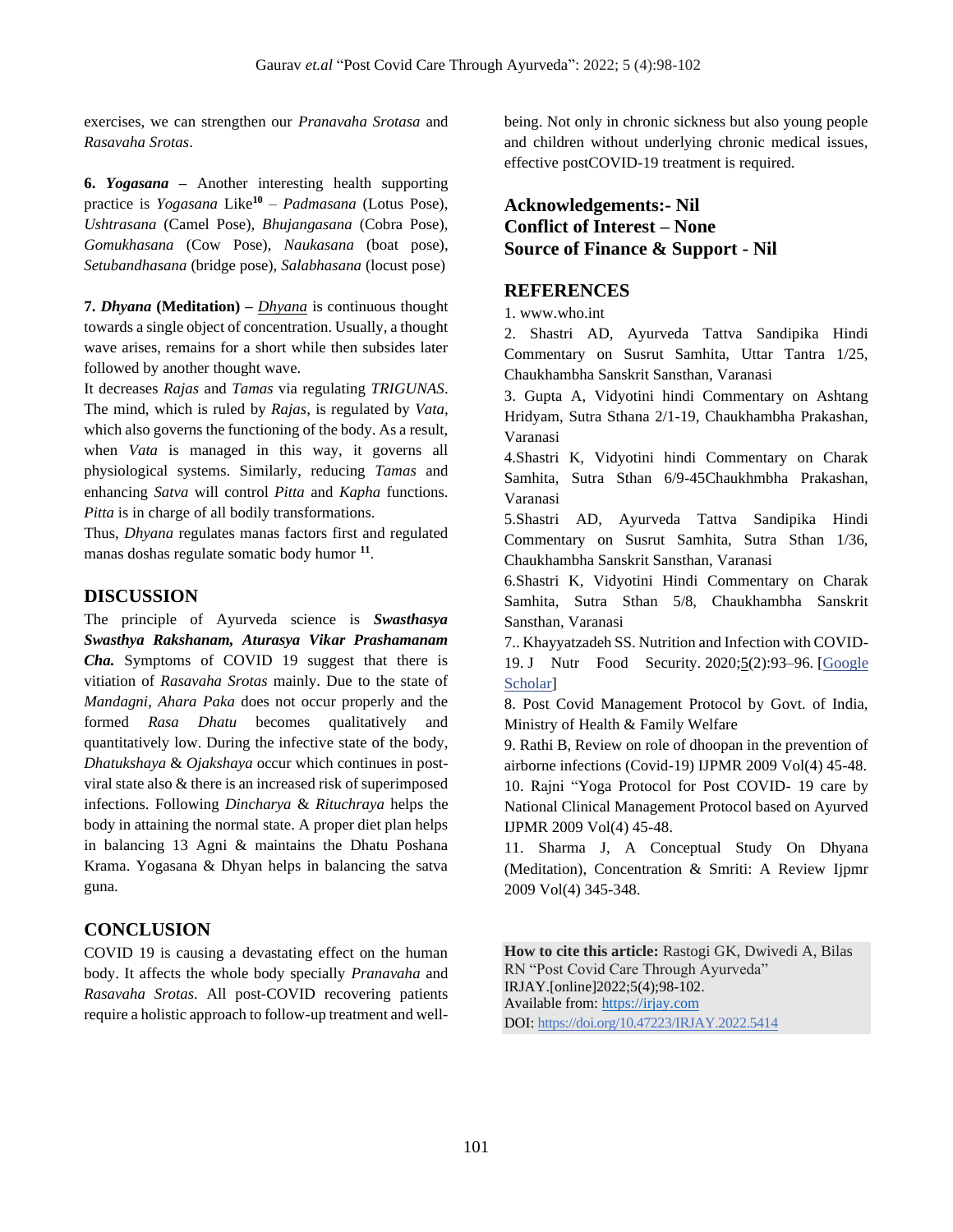exercises, we can strengthen our *Pranavaha Srotasa* and *Rasavaha Srotas*.

**6.** *Yogasana* **–** Another interesting health supporting practice is *Yogasana* Like**<sup>10</sup>** – *Padmasana* (Lotus Pose), *Ushtrasana* (Camel Pose), *Bhujangasana* (Cobra Pose), *Gomukhasana* (Cow Pose), *Naukasana* (boat pose), *Setubandhasana* (bridge pose), *Salabhasana* (locust pose)

**7.** *Dhyana* **(Meditation) –** *Dhyana* is continuous thought towards a single object of concentration. Usually, a thought wave arises, remains for a short while then subsides later followed by another thought wave.

It decreases *Rajas* and *Tamas* via regulating *TRIGUNAS*. The mind, which is ruled by *Rajas*, is regulated by *Vata*, which also governs the functioning of the body. As a result, when *Vata* is managed in this way, it governs all physiological systems. Similarly, reducing *Tamas* and enhancing *Satva* will control *Pitta* and *Kapha* functions. *Pitta* is in charge of all bodily transformations.

Thus, *Dhyana* regulates manas factors first and regulated manas doshas regulate somatic body humor **<sup>11</sup>** .

## **DISCUSSION**

The principle of Ayurveda science is *Swasthasya Swasthya Rakshanam, Aturasya Vikar Prashamanam Cha.* Symptoms of COVID 19 suggest that there is vitiation of *Rasavaha Srotas* mainly. Due to the state of *Mandagni*, *Ahara Paka* does not occur properly and the formed *Rasa Dhatu* becomes qualitatively and quantitatively low. During the infective state of the body, *Dhatukshaya* & *Ojakshaya* occur which continues in postviral state also & there is an increased risk of superimposed infections. Following *Dincharya* & *Rituchraya* helps the body in attaining the normal state. A proper diet plan helps in balancing 13 Agni & maintains the Dhatu Poshana Krama. Yogasana & Dhyan helps in balancing the satva guna.

# **CONCLUSION**

COVID 19 is causing a devastating effect on the human body. It affects the whole body specially *Pranavaha* and *Rasavaha Srotas*. All post-COVID recovering patients require a holistic approach to follow-up treatment and wellbeing. Not only in chronic sickness but also young people and children without underlying chronic medical issues, effective postCOVID-19 treatment is required.

# **Acknowledgements:- Nil Conflict of Interest – None Source of Finance & Support - Nil**

## **REFERENCES**

1. [www.who.int](http://www.who.int/)

2. Shastri AD, Ayurveda Tattva Sandipika Hindi Commentary on Susrut Samhita, Uttar Tantra 1/25, Chaukhambha Sanskrit Sansthan, Varanasi

3. Gupta A, Vidyotini hindi Commentary on Ashtang Hridyam, Sutra Sthana 2/1-19, Chaukhambha Prakashan, Varanasi

4.Shastri K, Vidyotini hindi Commentary on Charak Samhita, Sutra Sthan 6/9-45Chaukhmbha Prakashan, Varanasi

5.Shastri AD, Ayurveda Tattva Sandipika Hindi Commentary on Susrut Samhita, Sutra Sthan 1/36, Chaukhambha Sanskrit Sansthan, Varanasi

6.Shastri K, Vidyotini Hindi Commentary on Charak Samhita, Sutra Sthan 5/8, Chaukhambha Sanskrit Sansthan, Varanasi

7.. Khayyatzadeh SS. Nutrition and Infection with COVID-19. J Nutr Food Security. 2020;5(2):93–96. [\[Google](https://scholar.google.com/scholar_lookup?journal=J+Nutr+Food+Security&title=Nutrition+and+Infection+with+COVID-19&author=SS+Khayyatzadeh&volume=5&issue=2&publication_year=2020&pages=93-96&)  [Scholar\]](https://scholar.google.com/scholar_lookup?journal=J+Nutr+Food+Security&title=Nutrition+and+Infection+with+COVID-19&author=SS+Khayyatzadeh&volume=5&issue=2&publication_year=2020&pages=93-96&)

8. Post Covid Management Protocol by Govt. of India, Ministry of Health & Family Welfare

9. Rathi B, Review on role of dhoopan in the prevention of airborne infections (Covid-19) IJPMR 2009 Vol(4) 45-48. 10. Rajni "Yoga Protocol for Post COVID- 19 care by National Clinical Management Protocol based on Ayurved IJPMR 2009 Vol(4) 45-48.

11. Sharma J, A Conceptual Study On Dhyana (Meditation), Concentration & Smriti: A Review Ijpmr 2009 Vol(4) 345-348.

**How to cite this article:** Rastogi GK, Dwivedi A, Bilas RN "Post Covid Care Through Ayurveda" IRJAY.[online]2022;5(4);98-102. Available from: [https://irjay.com](https://irjay.com/) DOI: https://doi.org/10.47223/IRJAY.2022.5414